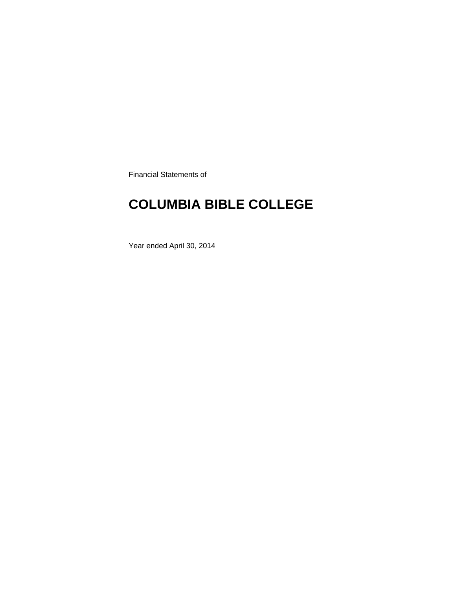Financial Statements of

# **COLUMBIA BIBLE COLLEGE**

Year ended April 30, 2014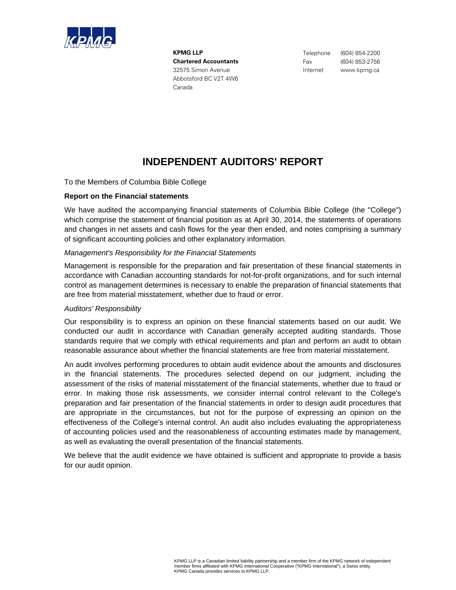

**KPMG LLP** Telephone (604) 854-2200 **Chartered Accountants** Fax Fax (604) 853-2756 32575 Simon Avenue **Internet** www.kpmg.ca Abbotsford BC V2T 4W6 Canada

### **INDEPENDENT AUDITORS' REPORT**

To the Members of Columbia Bible College

#### **Report on the Financial statements**

We have audited the accompanying financial statements of Columbia Bible College (the "College") which comprise the statement of financial position as at April 30, 2014, the statements of operations and changes in net assets and cash flows for the year then ended, and notes comprising a summary of significant accounting policies and other explanatory information.

#### *Management's Responsibility for the Financial Statements*

Management is responsible for the preparation and fair presentation of these financial statements in accordance with Canadian accounting standards for not-for-profit organizations, and for such internal control as management determines is necessary to enable the preparation of financial statements that are free from material misstatement, whether due to fraud or error.

#### *Auditors' Responsibility*

Our responsibility is to express an opinion on these financial statements based on our audit. We conducted our audit in accordance with Canadian generally accepted auditing standards. Those standards require that we comply with ethical requirements and plan and perform an audit to obtain reasonable assurance about whether the financial statements are free from material misstatement.

An audit involves performing procedures to obtain audit evidence about the amounts and disclosures in the financial statements. The procedures selected depend on our judgment, including the assessment of the risks of material misstatement of the financial statements, whether due to fraud or error. In making those risk assessments, we consider internal control relevant to the College's preparation and fair presentation of the financial statements in order to design audit procedures that are appropriate in the circumstances, but not for the purpose of expressing an opinion on the effectiveness of the College's internal control. An audit also includes evaluating the appropriateness of accounting policies used and the reasonableness of accounting estimates made by management, as well as evaluating the overall presentation of the financial statements.

We believe that the audit evidence we have obtained is sufficient and appropriate to provide a basis for our audit opinion.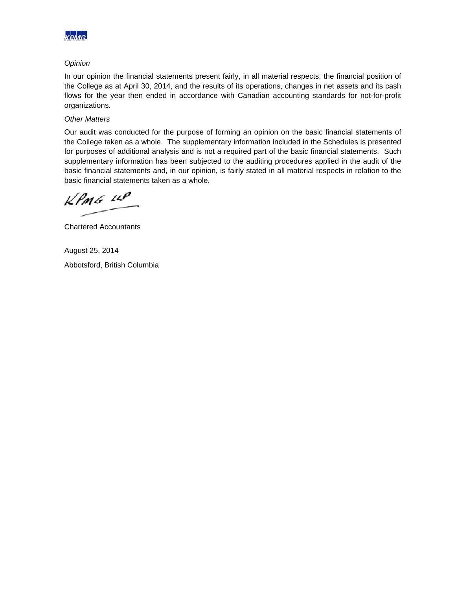

### *Opinion*

In our opinion the financial statements present fairly, in all material respects, the financial position of the College as at April 30, 2014, and the results of its operations, changes in net assets and its cash flows for the year then ended in accordance with Canadian accounting standards for not-for-profit organizations.

### *Other Matters*

Our audit was conducted for the purpose of forming an opinion on the basic financial statements of the College taken as a whole. The supplementary information included in the Schedules is presented for purposes of additional analysis and is not a required part of the basic financial statements. Such supplementary information has been subjected to the auditing procedures applied in the audit of the basic financial statements and, in our opinion, is fairly stated in all material respects in relation to the basic financial statements taken as a whole.

 $k$ *PMG 14P* 

Chartered Accountants

August 25, 2014 Abbotsford, British Columbia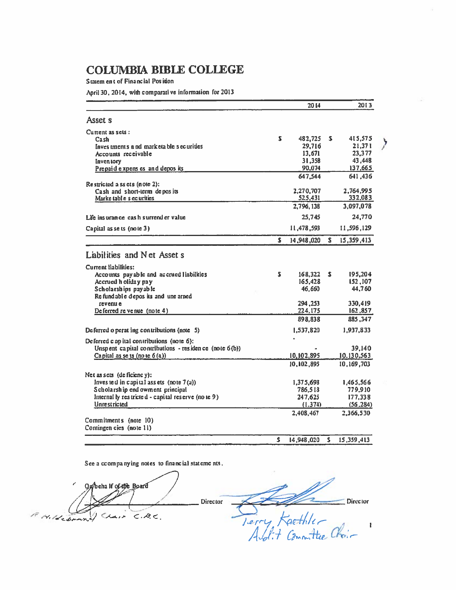Statem en t of Financial Position

April 30, 2014, with comparative information for 2013

|                                                                                            |    | 2014                 |     | 2013                 |  |
|--------------------------------------------------------------------------------------------|----|----------------------|-----|----------------------|--|
| Asset s                                                                                    |    |                      |     |                      |  |
| Current as sets:                                                                           |    |                      |     |                      |  |
| Cash                                                                                       | \$ | 482,725              | - 5 | 415,575              |  |
| Investments and marketable securities                                                      |    | 29.716               |     | 21,374               |  |
| Accounts receivable                                                                        |    | 13,671               |     | 23,377               |  |
| Inventory                                                                                  |    | 31,358               |     | 43,448               |  |
| Prepaid expens es and deposits                                                             |    | 90.074               |     | 137.665              |  |
|                                                                                            |    | 647.544              |     | 641,436              |  |
| Restricted a ss ets (note 2):                                                              |    |                      |     |                      |  |
| Cash and short-term deposits<br>Marke table s ecurities                                    |    | 2,270,707<br>525,431 |     | 2,764,995<br>332,083 |  |
|                                                                                            |    | 2,796,138            |     | 3,097,078            |  |
|                                                                                            |    |                      |     |                      |  |
| Life insurance cash surrend er value                                                       |    | 25,745               |     | 24,770               |  |
| Capital as se ts (note 3)                                                                  |    | 11,478,593           |     | 11,596,129           |  |
|                                                                                            | s  | 14,948,020           | s.  | 15,359,413           |  |
| Liabilities and Net Asset s                                                                |    |                      |     |                      |  |
| Current liabilities:                                                                       |    |                      |     |                      |  |
| Accounts payable and accrued liabilities                                                   | 2  | 168,322              | s.  | 195,204              |  |
| Accrued h oliday pay                                                                       |    | 165,428              |     | 152,107              |  |
| Scholarships payable                                                                       |    | 46,660               |     | 44,760               |  |
| Re fund able depos its and une arned                                                       |    |                      |     |                      |  |
| revenu e                                                                                   |    | 294.253              |     | 330,419              |  |
| Deferred re venue $(note 4)$                                                               |    | 224,175              |     | 162,857              |  |
|                                                                                            |    | 898,838              |     | 885,347              |  |
| Deferred o perat ing contributions (note 5)                                                |    | 1,537,820            |     | 1,937,833            |  |
|                                                                                            |    |                      |     |                      |  |
| Deferred c ap ital contributions (note 6):                                                 |    |                      |     |                      |  |
| Unspent capital contributions - residence (note 6(b))<br>Capital as se is $(no \neq 6(a))$ |    | 10,102,895           |     | 39.140<br>10,130,563 |  |
|                                                                                            |    |                      |     |                      |  |
|                                                                                            |    | 10,102,895           |     | 10,169,703           |  |
| Net as sets (de ficiency):                                                                 |    |                      |     |                      |  |
| Invested in capital assets (note $7(a)$ )                                                  |    | 1.375.698            |     | 1,465,566            |  |
| Scholarship end owment principal                                                           |    | 786,518              |     | 779,910              |  |
| Internal ly res tricted - capital reserve (no te 9)                                        |    | 247,625              |     | 177,338              |  |
| <b>Unrestricted</b>                                                                        |    | (1.374)              |     | (56, 284)            |  |
|                                                                                            |    | 2,408,467            |     | 2,366,530            |  |
| Commitments (note 10)<br>Contingen cies (note 11)                                          |    |                      |     |                      |  |
|                                                                                            | \$ | 14.948.020           | s   | 15,359,413           |  |

See a ccompanying notes to financial statements.

Oscheha If of the Board  $\equiv$  Director Director 4 Kaethler ( Holdeswand) Chair C. B.C.  $1er$  $\mathbf{I}$  $4t_{\alpha}$  (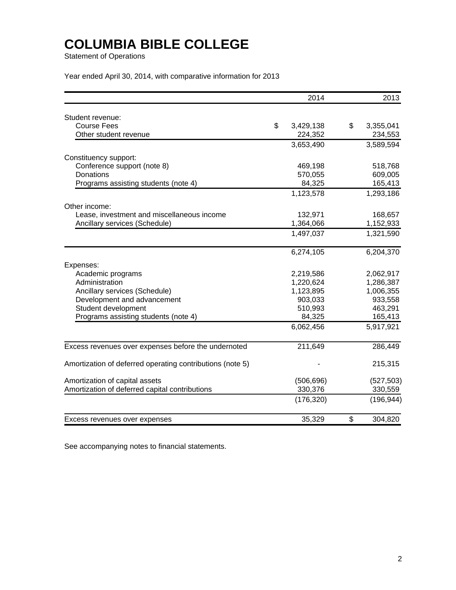Statement of Operations

Year ended April 30, 2014, with comparative information for 2013

|                                                           | 2014            | 2013            |
|-----------------------------------------------------------|-----------------|-----------------|
| Student revenue:                                          |                 |                 |
| <b>Course Fees</b>                                        | \$<br>3,429,138 | \$<br>3,355,041 |
| Other student revenue                                     | 224,352         | 234,553         |
|                                                           | 3,653,490       | 3,589,594       |
| Constituency support:                                     |                 |                 |
| Conference support (note 8)                               | 469,198         | 518,768         |
| Donations                                                 | 570,055         | 609,005         |
| Programs assisting students (note 4)                      | 84,325          | 165,413         |
|                                                           |                 | 1,293,186       |
|                                                           | 1,123,578       |                 |
| Other income:                                             |                 |                 |
| Lease, investment and miscellaneous income                | 132,971         | 168,657         |
| Ancillary services (Schedule)                             | 1,364,066       | 1,152,933       |
|                                                           | 1,497,037       | 1,321,590       |
|                                                           | 6,274,105       | 6,204,370       |
| Expenses:                                                 |                 |                 |
| Academic programs                                         | 2,219,586       | 2,062,917       |
| Administration                                            | 1,220,624       | 1,286,387       |
| Ancillary services (Schedule)                             | 1,123,895       | 1,006,355       |
| Development and advancement                               | 903,033         | 933,558         |
| Student development                                       | 510,993         | 463,291         |
| Programs assisting students (note 4)                      | 84,325          | 165,413         |
|                                                           | 6,062,456       | 5,917,921       |
| Excess revenues over expenses before the undernoted       | 211,649         | 286,449         |
|                                                           |                 |                 |
| Amortization of deferred operating contributions (note 5) |                 | 215,315         |
| Amortization of capital assets                            | (506, 696)      | (527, 503)      |
| Amortization of deferred capital contributions            | 330,376         | 330,559         |
|                                                           | (176, 320)      | (196, 944)      |
| Excess revenues over expenses                             | 35,329          | \$<br>304,820   |

See accompanying notes to financial statements.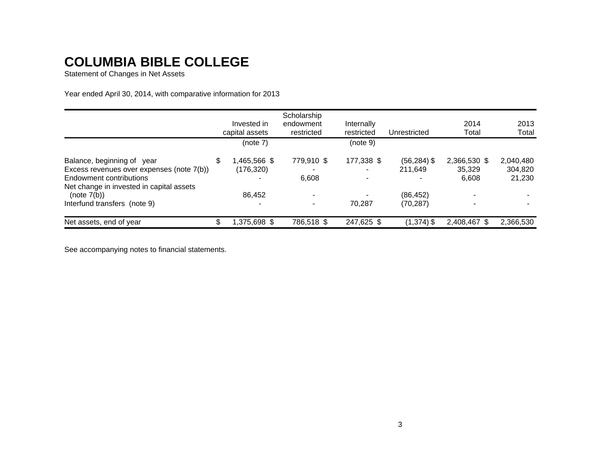Statement of Changes in Net Assets

Year ended April 30, 2014, with comparative information for 2013

|                                                                                                                                                | Invested in<br>capital assets  | Scholarship<br>endowment<br>restricted | Internally<br>restricted | Unrestricted              | 2014<br>Total                   | 2013<br>Total                  |
|------------------------------------------------------------------------------------------------------------------------------------------------|--------------------------------|----------------------------------------|--------------------------|---------------------------|---------------------------------|--------------------------------|
|                                                                                                                                                | (note 7)                       |                                        | (note 9)                 |                           |                                 |                                |
| Balance, beginning of year<br>Excess revenues over expenses (note 7(b))<br>Endowment contributions<br>Net change in invested in capital assets | \$<br>465,566 \$<br>(176, 320) | 779,910 \$<br>6,608                    | 177,338 \$               | $(56, 284)$ \$<br>211.649 | 2,366,530 \$<br>35,329<br>6,608 | 2,040,480<br>304,820<br>21,230 |
| (note 7(b))                                                                                                                                    | 86,452                         | $\overline{\phantom{0}}$               |                          | (86, 452)                 |                                 |                                |
| Interfund transfers (note 9)                                                                                                                   |                                | $\overline{\phantom{0}}$               | 70,287                   | (70, 287)                 |                                 |                                |
| Net assets, end of year                                                                                                                        | \$<br>1,375,698 \$             | 786,518 \$                             | 247,625 \$               | $(1,374)$ \$              | 2,408,467 \$                    | 2,366,530                      |

See accompanying notes to financial statements.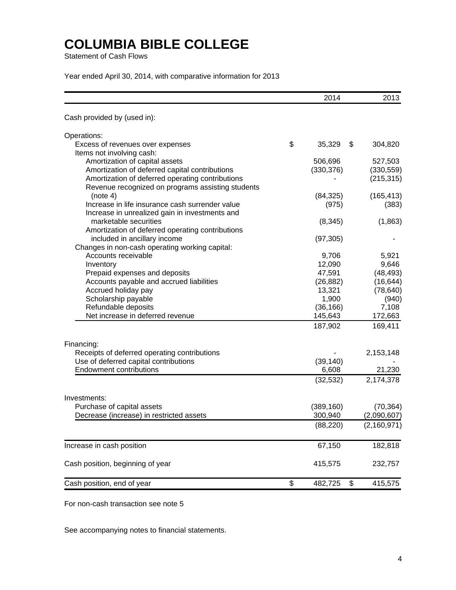Statement of Cash Flows

Year ended April 30, 2014, with comparative information for 2013

|                                                                 | 2014                | 2013                   |
|-----------------------------------------------------------------|---------------------|------------------------|
| Cash provided by (used in):                                     |                     |                        |
| Operations:                                                     |                     |                        |
| Excess of revenues over expenses                                | \$<br>35,329        | \$<br>304,820          |
| Items not involving cash:                                       |                     |                        |
| Amortization of capital assets                                  | 506,696             | 527,503                |
| Amortization of deferred capital contributions                  | (330, 376)          | (330, 559)             |
| Amortization of deferred operating contributions                |                     | (215, 315)             |
| Revenue recognized on programs assisting students               |                     |                        |
| (note 4)                                                        | (84, 325)           | (165, 413)             |
| Increase in life insurance cash surrender value                 | (975)               | (383)                  |
| Increase in unrealized gain in investments and                  |                     |                        |
| marketable securities                                           | (8, 345)            | (1,863)                |
| Amortization of deferred operating contributions                |                     |                        |
| included in ancillary income                                    | (97, 305)           |                        |
| Changes in non-cash operating working capital:                  |                     |                        |
| Accounts receivable                                             | 9,706               | 5,921                  |
| Inventory                                                       | 12,090              | 9,646                  |
| Prepaid expenses and deposits                                   | 47,591              | (48, 493)              |
| Accounts payable and accrued liabilities<br>Accrued holiday pay | (26, 882)<br>13,321 | (16, 644)<br>(78, 640) |
| Scholarship payable                                             | 1,900               | (940)                  |
| Refundable deposits                                             | (36, 166)           | 7,108                  |
| Net increase in deferred revenue                                | 145,643             | 172,663                |
|                                                                 | 187,902             | 169,411                |
|                                                                 |                     |                        |
| Financing:                                                      |                     |                        |
| Receipts of deferred operating contributions                    |                     | 2,153,148              |
| Use of deferred capital contributions                           | (39, 140)           |                        |
| <b>Endowment contributions</b>                                  | 6,608               | 21,230                 |
|                                                                 | (32, 532)           | 2,174,378              |
| Investments:                                                    |                     |                        |
| Purchase of capital assets                                      | (389, 160)          | (70, 364)              |
| Decrease (increase) in restricted assets                        | 300,940             | (2,090,607)            |
|                                                                 | (88, 220)           | (2, 160, 971)          |
| Increase in cash position                                       | 67,150              | 182,818                |
| Cash position, beginning of year                                | 415,575             | 232,757                |
| Cash position, end of year                                      | \$<br>482,725       | \$<br>415,575          |

For non-cash transaction see note 5

See accompanying notes to financial statements.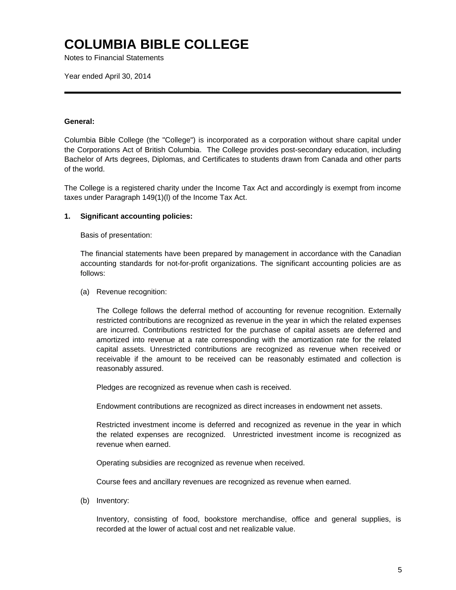Notes to Financial Statements

Year ended April 30, 2014

### **General:**

Columbia Bible College (the "College") is incorporated as a corporation without share capital under the Corporations Act of British Columbia. The College provides post-secondary education, including Bachelor of Arts degrees, Diplomas, and Certificates to students drawn from Canada and other parts of the world.

The College is a registered charity under the Income Tax Act and accordingly is exempt from income taxes under Paragraph 149(1)(l) of the Income Tax Act.

### **1. Significant accounting policies:**

Basis of presentation:

The financial statements have been prepared by management in accordance with the Canadian accounting standards for not-for-profit organizations. The significant accounting policies are as follows:

(a) Revenue recognition:

The College follows the deferral method of accounting for revenue recognition. Externally restricted contributions are recognized as revenue in the year in which the related expenses are incurred. Contributions restricted for the purchase of capital assets are deferred and amortized into revenue at a rate corresponding with the amortization rate for the related capital assets. Unrestricted contributions are recognized as revenue when received or receivable if the amount to be received can be reasonably estimated and collection is reasonably assured.

Pledges are recognized as revenue when cash is received.

Endowment contributions are recognized as direct increases in endowment net assets.

Restricted investment income is deferred and recognized as revenue in the year in which the related expenses are recognized. Unrestricted investment income is recognized as revenue when earned.

Operating subsidies are recognized as revenue when received.

Course fees and ancillary revenues are recognized as revenue when earned.

(b) Inventory:

Inventory, consisting of food, bookstore merchandise, office and general supplies, is recorded at the lower of actual cost and net realizable value.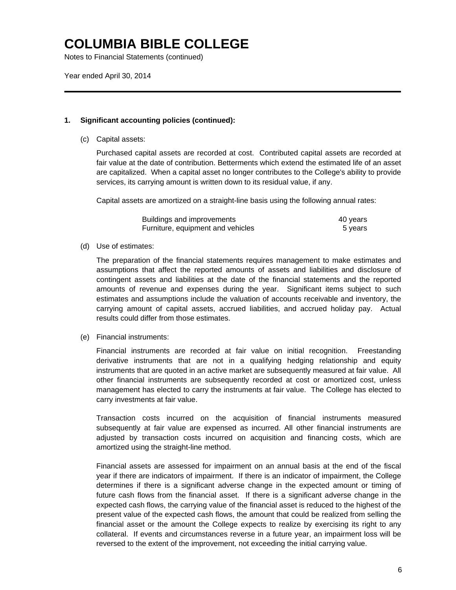Notes to Financial Statements (continued)

Year ended April 30, 2014

### **1. Significant accounting policies (continued):**

(c) Capital assets:

Purchased capital assets are recorded at cost. Contributed capital assets are recorded at fair value at the date of contribution. Betterments which extend the estimated life of an asset are capitalized. When a capital asset no longer contributes to the College's ability to provide services, its carrying amount is written down to its residual value, if any.

Capital assets are amortized on a straight-line basis using the following annual rates:

| Buildings and improvements        | 40 vears |
|-----------------------------------|----------|
| Furniture, equipment and vehicles | 5 vears  |

### (d) Use of estimates:

The preparation of the financial statements requires management to make estimates and assumptions that affect the reported amounts of assets and liabilities and disclosure of contingent assets and liabilities at the date of the financial statements and the reported amounts of revenue and expenses during the year. Significant items subject to such estimates and assumptions include the valuation of accounts receivable and inventory, the carrying amount of capital assets, accrued liabilities, and accrued holiday pay. Actual results could differ from those estimates.

(e) Financial instruments:

Financial instruments are recorded at fair value on initial recognition. Freestanding derivative instruments that are not in a qualifying hedging relationship and equity instruments that are quoted in an active market are subsequently measured at fair value. All other financial instruments are subsequently recorded at cost or amortized cost, unless management has elected to carry the instruments at fair value. The College has elected to carry investments at fair value.

Transaction costs incurred on the acquisition of financial instruments measured subsequently at fair value are expensed as incurred. All other financial instruments are adjusted by transaction costs incurred on acquisition and financing costs, which are amortized using the straight-line method.

Financial assets are assessed for impairment on an annual basis at the end of the fiscal year if there are indicators of impairment. If there is an indicator of impairment, the College determines if there is a significant adverse change in the expected amount or timing of future cash flows from the financial asset. If there is a significant adverse change in the expected cash flows, the carrying value of the financial asset is reduced to the highest of the present value of the expected cash flows, the amount that could be realized from selling the financial asset or the amount the College expects to realize by exercising its right to any collateral. If events and circumstances reverse in a future year, an impairment loss will be reversed to the extent of the improvement, not exceeding the initial carrying value.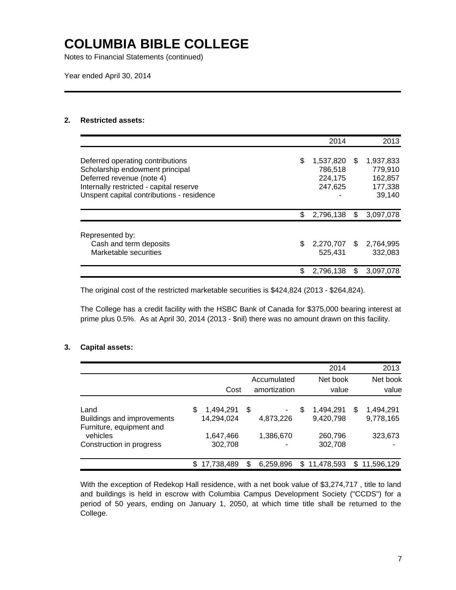Notes to Financial Statements (continued)

Year ended April 30, 2014

### **2. Restricted assets:**

|                                                                                                                                                                                          | 2014                                             |     | 2013                                                 |
|------------------------------------------------------------------------------------------------------------------------------------------------------------------------------------------|--------------------------------------------------|-----|------------------------------------------------------|
| Deferred operating contributions<br>Scholarship endowment principal<br>Deferred revenue (note 4)<br>Internally restricted - capital reserve<br>Unspent capital contributions - residence | \$<br>1,537,820<br>786.518<br>224.175<br>247,625 | \$. | 1,937,833<br>779,910<br>162,857<br>177,338<br>39,140 |
|                                                                                                                                                                                          | \$<br>2,796,138                                  | \$  | 3,097,078                                            |
| Represented by:<br>Cash and term deposits<br>Marketable securities                                                                                                                       | \$<br>2,270,707<br>525,431                       | \$. | 2,764,995<br>332,083                                 |
|                                                                                                                                                                                          | 2,796,138                                        |     | 3,097,078                                            |

The original cost of the restricted marketable securities is \$424,824 (2013 - \$264,824).

The College has a credit facility with the HSBC Bank of Canada for \$375,000 bearing interest at prime plus 0.5%. As at April 30, 2014 (2013 - \$nil) there was no amount drawn on this facility.

#### **3. Capital assets:**

|                                                                                                        |     |                                                 |    |                        |     | 2014                                         |    | 2013                              |
|--------------------------------------------------------------------------------------------------------|-----|-------------------------------------------------|----|------------------------|-----|----------------------------------------------|----|-----------------------------------|
|                                                                                                        |     |                                                 |    | Accumulated            |     | Net book                                     |    | Net book                          |
|                                                                                                        |     | Cost                                            |    | amortization           |     | value                                        |    | value                             |
| Land<br>Buildings and improvements<br>Furniture, equipment and<br>vehicles<br>Construction in progress | \$. | 1,494,291<br>14,294,024<br>1,647,466<br>302,708 | \$ | 4,873,226<br>1,386,670 | \$  | 1,494,291<br>9,420,798<br>260,796<br>302,708 | \$ | 1,494,291<br>9,778,165<br>323,673 |
|                                                                                                        |     | 17,738,489                                      | S. | 6,259,896              | \$. | 11,478,593                                   | S. | 11,596,129                        |

With the exception of Redekop Hall residence, with a net book value of \$3,274,717 , title to land and buildings is held in escrow with Columbia Campus Development Society ("CCDS") for a period of 50 years, ending on January 1, 2050, at which time title shall be returned to the College.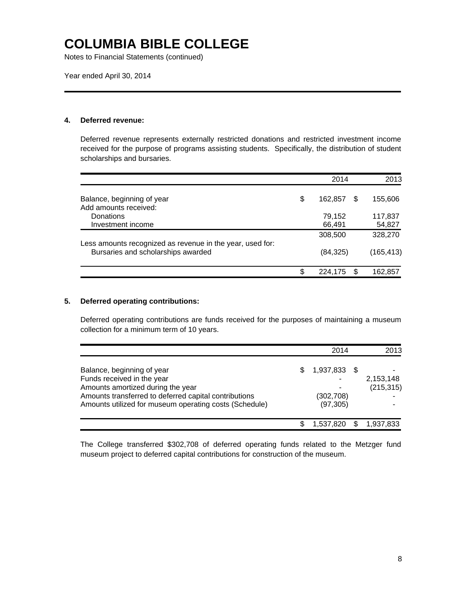Notes to Financial Statements (continued)

Year ended April 30, 2014

### **4. Deferred revenue:**

Deferred revenue represents externally restricted donations and restricted investment income received for the purpose of programs assisting students. Specifically, the distribution of student scholarships and bursaries.

|                                                           |    | 2014             | 2013              |
|-----------------------------------------------------------|----|------------------|-------------------|
| Balance, beginning of year<br>Add amounts received:       | \$ | 162,857<br>\$    | 155,606           |
| Donations<br>Investment income                            |    | 79,152<br>66,491 | 117,837<br>54,827 |
| Less amounts recognized as revenue in the year, used for: |    | 308,500          | 328,270           |
| Bursaries and scholarships awarded                        |    | (84, 325)        | (165,413)         |
|                                                           | S  | S<br>224,175     | 162,857           |

### **5. Deferred operating contributions:**

Deferred operating contributions are funds received for the purposes of maintaining a museum collection for a minimum term of 10 years.

|                                                                                                                                                                                                                  | 2014                                              | 2013                    |
|------------------------------------------------------------------------------------------------------------------------------------------------------------------------------------------------------------------|---------------------------------------------------|-------------------------|
| Balance, beginning of year<br>Funds received in the year<br>Amounts amortized during the year<br>Amounts transferred to deferred capital contributions<br>Amounts utilized for museum operating costs (Schedule) | 1,937,833 \$<br>٠<br>۰<br>(302, 708)<br>(97, 305) | 2,153,148<br>(215, 315) |
|                                                                                                                                                                                                                  | 1,537,820                                         | 1,937,833               |

The College transferred \$302,708 of deferred operating funds related to the Metzger fund museum project to deferred capital contributions for construction of the museum.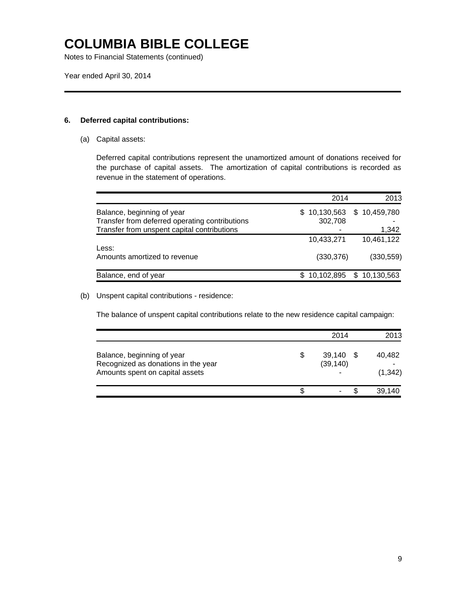Notes to Financial Statements (continued)

Year ended April 30, 2014

### **6. Deferred capital contributions:**

(a) Capital assets:

Deferred capital contributions represent the unamortized amount of donations received for the purchase of capital assets. The amortization of capital contributions is recorded as revenue in the statement of operations.

|                                                | 2014             | 2013         |
|------------------------------------------------|------------------|--------------|
| Balance, beginning of year                     | 10,130,563<br>S. | \$10,459,780 |
| Transfer from deferred operating contributions | 302,708          |              |
| Transfer from unspent capital contributions    |                  | 1,342        |
|                                                | 10,433,271       | 10,461,122   |
| Less:                                          |                  |              |
| Amounts amortized to revenue                   | (330, 376)       | (330, 559)   |
| Balance, end of year                           | 10,102,895       | \$10,130,563 |

### (b) Unspent capital contributions - residence:

The balance of unspent capital contributions relate to the new residence capital campaign:

|                                                                                                      | 2014                      | 2013               |
|------------------------------------------------------------------------------------------------------|---------------------------|--------------------|
| Balance, beginning of year<br>Recognized as donations in the year<br>Amounts spent on capital assets | \$<br>39,140<br>(39, 140) | 40,482<br>(1, 342) |
|                                                                                                      |                           | 39,140             |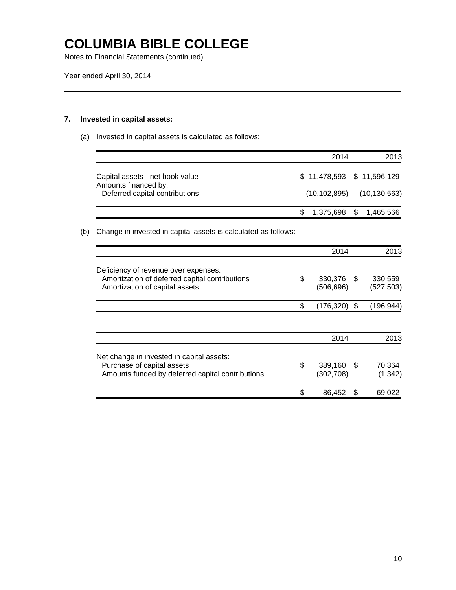Notes to Financial Statements (continued)

Year ended April 30, 2014

### **7. Invested in capital assets:**

(a) Invested in capital assets is calculated as follows:

|                                                         | 2014                              | 2013                   |
|---------------------------------------------------------|-----------------------------------|------------------------|
| Capital assets - net book value<br>Amounts financed by: | \$11,478,593 \$11,596,129         |                        |
| Deferred capital contributions                          | $(10, 102, 895)$ $(10, 130, 563)$ |                        |
|                                                         |                                   | 1,375,698 \$ 1,465,566 |

### (b) Change in invested in capital assets is calculated as follows:

|                                                                                                                             | 2014                          |      | 2013                  |
|-----------------------------------------------------------------------------------------------------------------------------|-------------------------------|------|-----------------------|
| Deficiency of revenue over expenses:<br>Amortization of deferred capital contributions<br>Amortization of capital assets    | \$<br>330,376 \$<br>(506,696) |      | 330,559<br>(527, 503) |
|                                                                                                                             | \$<br>$(176, 320)$ \$         |      | (196, 944)            |
|                                                                                                                             | 2014                          |      | 2013                  |
| Net change in invested in capital assets:<br>Purchase of capital assets<br>Amounts funded by deferred capital contributions | \$<br>389,160<br>(302,708)    | - \$ | 70,364<br>(1, 342)    |
|                                                                                                                             | \$<br>86,452                  |      | 69,022                |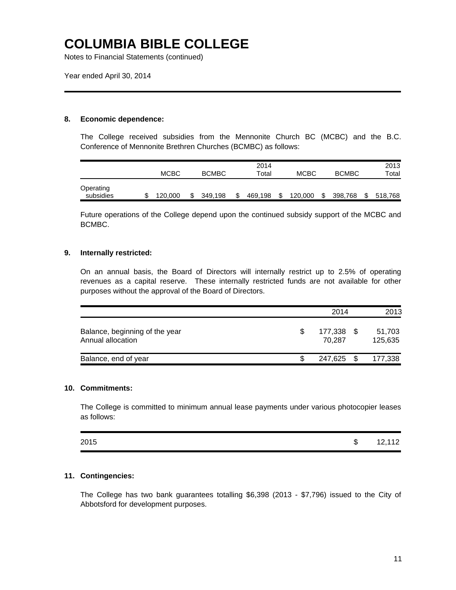Notes to Financial Statements (continued)

Year ended April 30, 2014

### **8. Economic dependence:**

The College received subsidies from the Mennonite Church BC (MCBC) and the B.C. Conference of Mennonite Brethren Churches (BCMBC) as follows:

|                        | <b>MCBC</b> | <b>BCMBC</b>  | 2014<br><b>MCBC</b><br>Total |         |    |         | <b>BCMBC</b> | 2013<br>Total |               |
|------------------------|-------------|---------------|------------------------------|---------|----|---------|--------------|---------------|---------------|
| Operating<br>subsidies | 120.000     | \$<br>349,198 | \$                           | 469,198 | \$ | 120,000 | \$           | 398,768       | \$<br>518,768 |

Future operations of the College depend upon the continued subsidy support of the MCBC and BCMBC.

### **9. Internally restricted:**

On an annual basis, the Board of Directors will internally restrict up to 2.5% of operating revenues as a capital reserve. These internally restricted funds are not available for other purposes without the approval of the Board of Directors.

|                                                     | 2014              | 2013 |                   |  |
|-----------------------------------------------------|-------------------|------|-------------------|--|
| Balance, beginning of the year<br>Annual allocation | 177,338<br>70.287 | - \$ | 51,703<br>125,635 |  |
| Balance, end of year                                | 247.625           | \$.  | 177,338           |  |

#### **10. Commitments:**

The College is committed to minimum annual lease payments under various photocopier leases as follows:

| 2015 | ᠬ<br>Œ | 12,112 |
|------|--------|--------|
|------|--------|--------|

### **11. Contingencies:**

The College has two bank guarantees totalling \$6,398 (2013 - \$7,796) issued to the City of Abbotsford for development purposes.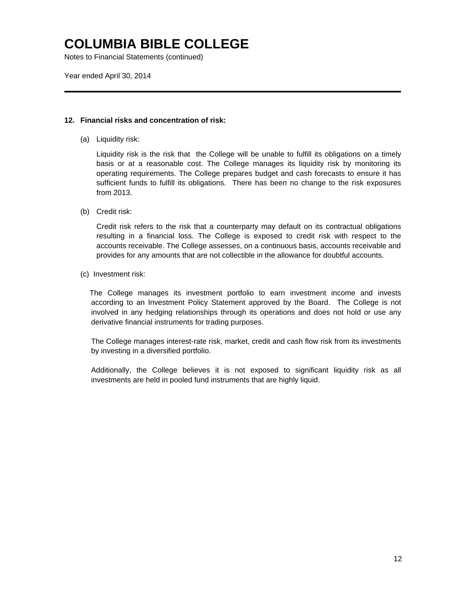Notes to Financial Statements (continued)

Year ended April 30, 2014

### **12. Financial risks and concentration of risk:**

(a) Liquidity risk:

Liquidity risk is the risk that the College will be unable to fulfill its obligations on a timely basis or at a reasonable cost. The College manages its liquidity risk by monitoring its operating requirements. The College prepares budget and cash forecasts to ensure it has sufficient funds to fulfill its obligations. There has been no change to the risk exposures from 2013.

(b) Credit risk:

Credit risk refers to the risk that a counterparty may default on its contractual obligations resulting in a financial loss. The College is exposed to credit risk with respect to the accounts receivable. The College assesses, on a continuous basis, accounts receivable and provides for any amounts that are not collectible in the allowance for doubtful accounts.

(c) Investment risk:

The College manages its investment portfolio to earn investment income and invests according to an Investment Policy Statement approved by the Board. The College is not involved in any hedging relationships through its operations and does not hold or use any derivative financial instruments for trading purposes.

The College manages interest-rate risk, market, credit and cash flow risk from its investments by investing in a diversified portfolio.

Additionally, the College believes it is not exposed to significant liquidity risk as all investments are held in pooled fund instruments that are highly liquid.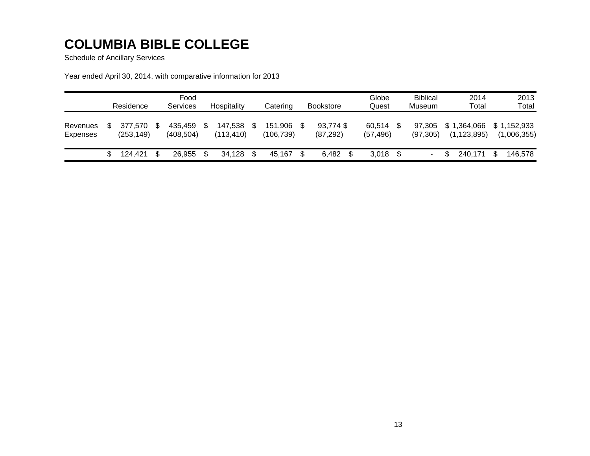Schedule of Ancillary Services

Year ended April 30, 2014, with comparative information for 2013

|                      | Residence             | Food<br>Services     | Hospitality           | Catering              | <b>Bookstore</b>       | Globe<br>Quest      |  | <b>Biblical</b><br>Museum | 2014<br>Total                | 2013<br>Total              |
|----------------------|-----------------------|----------------------|-----------------------|-----------------------|------------------------|---------------------|--|---------------------------|------------------------------|----------------------------|
| Revenues<br>Expenses | 377.570<br>(253, 149) | 435,459<br>(408.504) | 147,538<br>(113, 410) | 151.906<br>(106, 739) | 93,774 \$<br>(87, 292) | 60.514<br>(57, 496) |  | 97.305<br>(97.305)        | \$1,364,066<br>(1, 123, 895) | \$1,152,933<br>(1,006,355) |
|                      | 124.421               | 26.955               | 34.128                | 45.167                | 6.482                  | 3.018               |  |                           | 240.171                      | \$<br>146.578              |